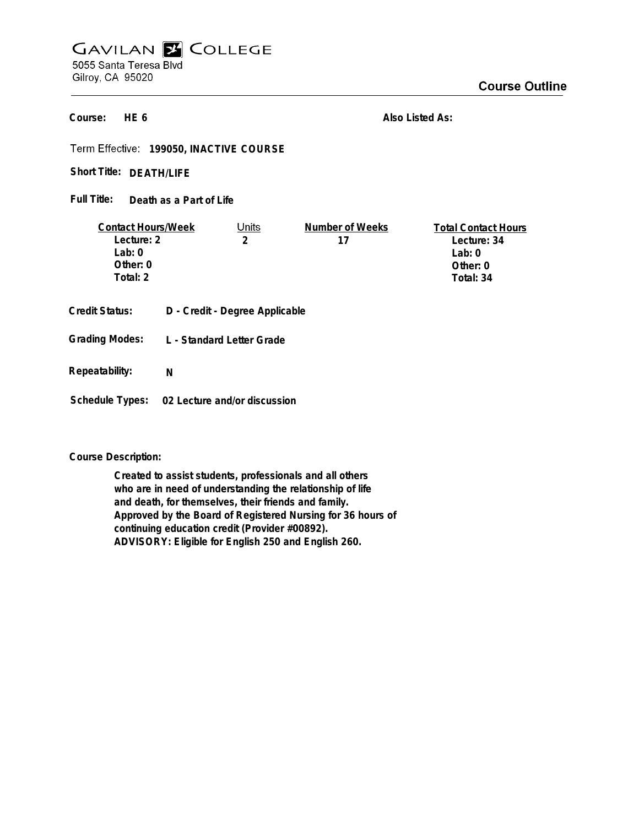## **GAVILAN E COLLEGE** 5055 Santa Teresa Blvd Gilroy, CA 95020

**HE 6 Course:**

**Also Listed As:**

**199050, INACTIVE COURSE**

Short Title: DEATH/LIFE

**Death as a Part of Life Full Title:**

| <b>Contact Hours/Week</b> |  | Units                          | Number of Weeks | <b>Total Contact Hours</b> |
|---------------------------|--|--------------------------------|-----------------|----------------------------|
| Lecture: 2                |  | 2                              | 17              | Lecture: 34                |
| Lab:0                     |  |                                |                 | Lab: $0$                   |
| Other: 0                  |  |                                |                 | Other: $0$                 |
| Total: 2                  |  |                                |                 | Total: 34                  |
| <b>Credit Status:</b>     |  | D - Credit - Degree Applicable |                 |                            |
| <b>Grading Modes:</b>     |  | L - Standard Letter Grade      |                 |                            |

**Repeatability: N**

**Schedule Types: 02 Lecture and/or discussion**

**Course Description:**

**Created to assist students, professionals and all others who are in need of understanding the relationship of life and death, for themselves, their friends and family. Approved by the Board of Registered Nursing for 36 hours of continuing education credit (Provider #00892). ADVISORY: Eligible for English 250 and English 260.**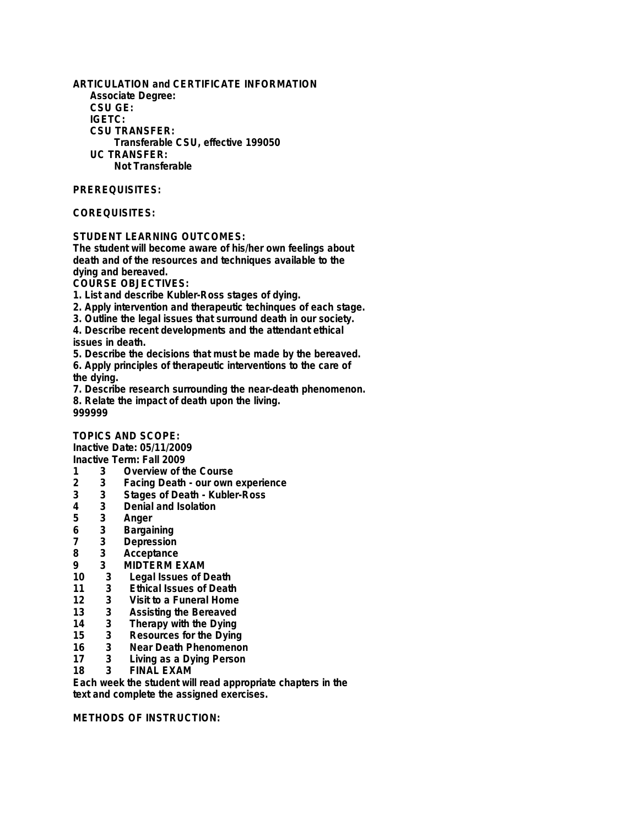**ARTICULATION and CERTIFICATE INFORMATION Associate Degree: CSU GE: IGETC: CSU TRANSFER: Transferable CSU, effective 199050 UC TRANSFER: Not Transferable**

## **PREREQUISITES:**

## **COREQUISITES:**

## **STUDENT LEARNING OUTCOMES:**

**The student will become aware of his/her own feelings about death and of the resources and techniques available to the dying and bereaved.**

**COURSE OBJECTIVES:**

**1. List and describe Kubler-Ross stages of dying.**

- **2. Apply intervention and therapeutic techinques of each stage.**
- **3. Outline the legal issues that surround death in our society.**

**4. Describe recent developments and the attendant ethical issues in death.**

**5. Describe the decisions that must be made by the bereaved.**

**6. Apply principles of therapeutic interventions to the care of the dying.**

**7. Describe research surrounding the near-death phenomenon. 8. Relate the impact of death upon the living. 999999**

**TOPICS AND SCOPE:**

**Inactive Date: 05/11/2009**

- **Inactive Term: Fall 2009**
- **1 3 Overview of the Course 2 3 Facing Death - our own experience**
- **3 3 Stages of Death Kubler-Ross**
- **4 3 Denial and Isolation**
- 
- **5 3 Anger**
- **6 3 Bargaining**
- **7 3 Depression**
- **8 3 Acceptance**
- **9 3 MIDTERM EXAM**
- **10 3 Legal Issues of Death**
- **11 3 Ethical Issues of Death**
- **12 3 Visit to a Funeral Home**
- **13 3 Assisting the Bereaved**
- **14 3 Therapy with the Dying**
- **15 3 Resources for the Dying**
- **16 3 Near Death Phenomenon 17 3 Living as a Dying Person**
- **18 3 FINAL EXAM**

**Each week the student will read appropriate chapters in the text and complete the assigned exercises.**

**METHODS OF INSTRUCTION:**